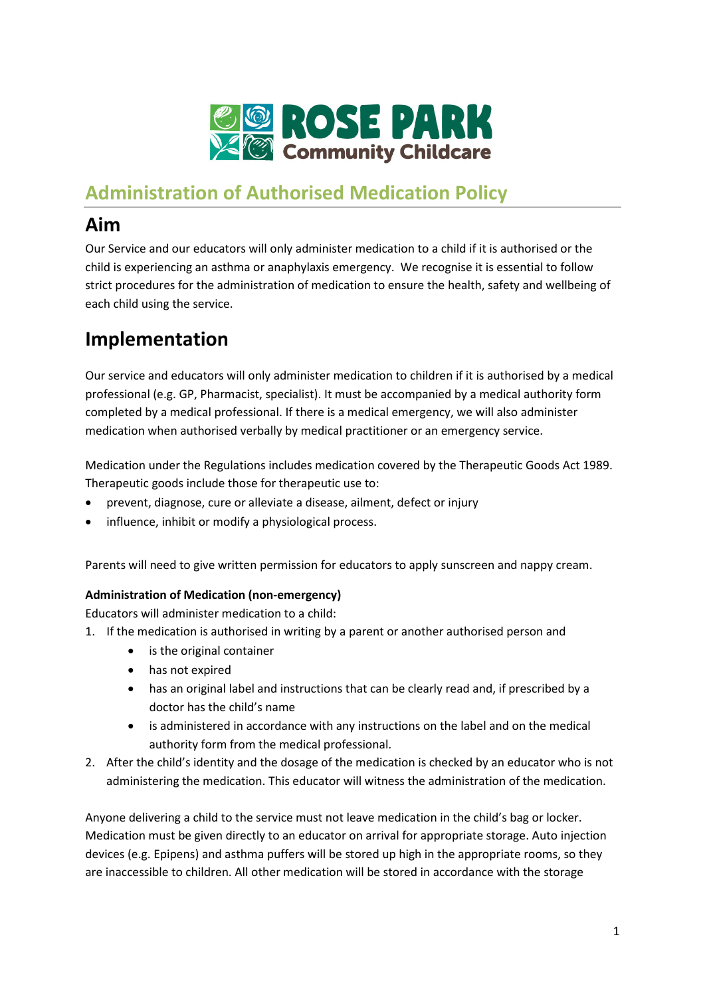

## **Administration of Authorised Medication Policy**

# **Aim**

Our Service and our educators will only administer medication to a child if it is authorised or the child is experiencing an asthma or anaphylaxis emergency. We recognise it is essential to follow strict procedures for the administration of medication to ensure the health, safety and wellbeing of each child using the service.

## **Implementation**

Our service and educators will only administer medication to children if it is authorised by a medical professional (e.g. GP, Pharmacist, specialist). It must be accompanied by a medical authority form completed by a medical professional. If there is a medical emergency, we will also administer medication when authorised verbally by medical practitioner or an emergency service.

Medication under the Regulations includes medication covered by the Therapeutic Goods Act 1989. Therapeutic goods include those fo[r therapeutic use](http://www.austlii.edu.au/au/legis/cth/consol_act/tga1989191/s3.html#therapeutic_use?stem=0&synonyms=0&query=definition) to:

- prevent, diagnose, cure or alleviate a disease, ailment, defect or injury
- influence, inhibit or modify a physiological process.

Parents will need to give written permission for educators to apply sunscreen and nappy cream.

### **Administration of Medication (non-emergency)**

Educators will administer medication to a child:

- 1. If the medication is authorised in writing by a parent or another authorised person and
	- is the original container
	- has not expired
	- has an original label and instructions that can be clearly read and, if prescribed by a doctor has the child's name
	- is administered in accordance with any instructions on the label and on the medical authority form from the medical professional.
- 2. After the child's identity and the dosage of the medication is checked by an educator who is not administering the medication. This educator will witness the administration of the medication.

Anyone delivering a child to the service must not leave medication in the child's bag or locker. Medication must be given directly to an educator on arrival for appropriate storage. Auto injection devices (e.g. Epipens) and asthma puffers will be stored up high in the appropriate rooms, so they are inaccessible to children. All other medication will be stored in accordance with the storage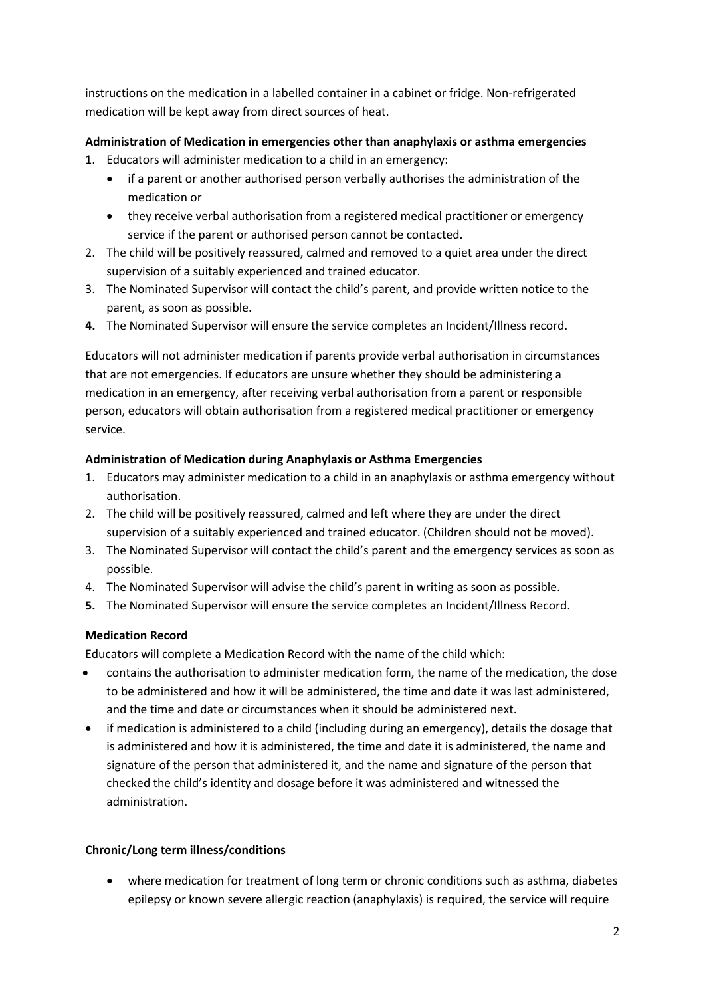instructions on the medication in a labelled container in a cabinet or fridge. Non-refrigerated medication will be kept away from direct sources of heat.

### **Administration of Medication in emergencies other than anaphylaxis or asthma emergencies**

- 1. Educators will administer medication to a child in an emergency:
	- if a parent or another authorised person verbally authorises the administration of the medication or
	- they receive verbal authorisation from a registered medical practitioner or emergency service if the parent or authorised person cannot be contacted.
- 2. The child will be positively reassured, calmed and removed to a quiet area under the direct supervision of a suitably experienced and trained educator.
- 3. The Nominated Supervisor will contact the child's parent, and provide written notice to the parent, as soon as possible.
- **4.** The Nominated Supervisor will ensure the service completes an Incident/Illness record.

Educators will not administer medication if parents provide verbal authorisation in circumstances that are not emergencies. If educators are unsure whether they should be administering a medication in an emergency, after receiving verbal authorisation from a parent or responsible person, educators will obtain authorisation from a registered medical practitioner or emergency service.

#### **Administration of Medication during Anaphylaxis or Asthma Emergencies**

- 1. Educators may administer medication to a child in an anaphylaxis or asthma emergency without authorisation.
- 2. The child will be positively reassured, calmed and left where they are under the direct supervision of a suitably experienced and trained educator. (Children should not be moved).
- 3. The Nominated Supervisor will contact the child's parent and the emergency services as soon as possible.
- 4. The Nominated Supervisor will advise the child's parent in writing as soon as possible.
- **5.** The Nominated Supervisor will ensure the service completes an Incident/Illness Record.

#### **Medication Record**

Educators will complete a Medication Record with the name of the child which:

- contains the authorisation to administer medication form, the name of the medication, the dose to be administered and how it will be administered, the time and date it was last administered, and the time and date or circumstances when it should be administered next.
- if medication is administered to a child (including during an emergency), details the dosage that is administered and how it is administered, the time and date it is administered, the name and signature of the person that administered it, and the name and signature of the person that checked the child's identity and dosage before it was administered and witnessed the administration.

#### **Chronic/Long term illness/conditions**

• where medication for treatment of long term or chronic conditions such as asthma, diabetes epilepsy or known severe allergic reaction (anaphylaxis) is required, the service will require